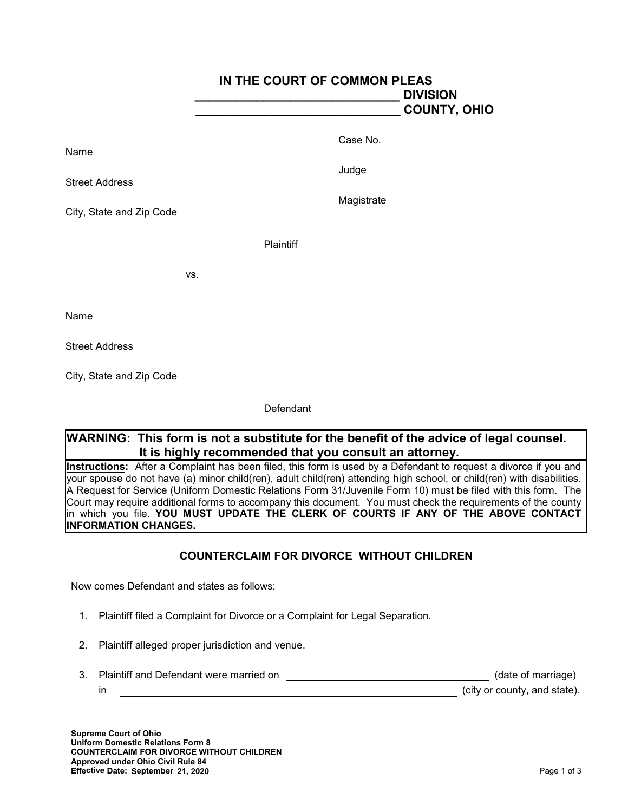|                                                   | IN THE COURT OF COMMON PLEAS<br><b>DIVISION</b><br><b>COUNTY, OHIO</b> |
|---------------------------------------------------|------------------------------------------------------------------------|
|                                                   | Case No.                                                               |
| Name                                              | Judge                                                                  |
| <b>Street Address</b><br>City, State and Zip Code | Magistrate                                                             |
| Plaintiff                                         |                                                                        |
| VS.                                               |                                                                        |
| Name                                              |                                                                        |
| <b>Street Address</b>                             |                                                                        |
| City, State and Zip Code                          |                                                                        |

Defendant

## **WARNING: This form is not a substitute for the benefit of the advice of legal counsel. It is highly recommended that you consult an attorney.**

**Instructions:** After a Complaint has been filed, this form is used by a Defendant to request a divorce if you and your spouse do not have (a) minor child(ren), adult child(ren) attending high school, or child(ren) with disabilities. A Request for Service (Uniform Domestic Relations Form 31/Juvenile Form 10) must be filed with this form. The Court may require additional forms to accompany this document. You must check the requirements of the county in which you file. **YOU MUST UPDATE THE CLERK OF COURTS IF ANY OF THE ABOVE CONTACT INFORMATION CHANGES.**

## **COUNTERCLAIM FOR DIVORCE WITHOUT CHILDREN**

Now comes Defendant and states as follows:

- 1. Plaintiff filed a Complaint for Divorce or a Complaint for Legal Separation.
- 2. Plaintiff alleged proper jurisdiction and venue.
- 3. Plaintiff and Defendant were married on (date of marriage) in the county, and state). The county of the county of city or county, and state).

**Supreme Court of Ohio Uniform Domestic Relations Form 8 COUNTERCLAIM FOR DIVORCE WITHOUT CHILDREN Approved under Ohio Civil Rule 84 Effective Date: September 21, 2020**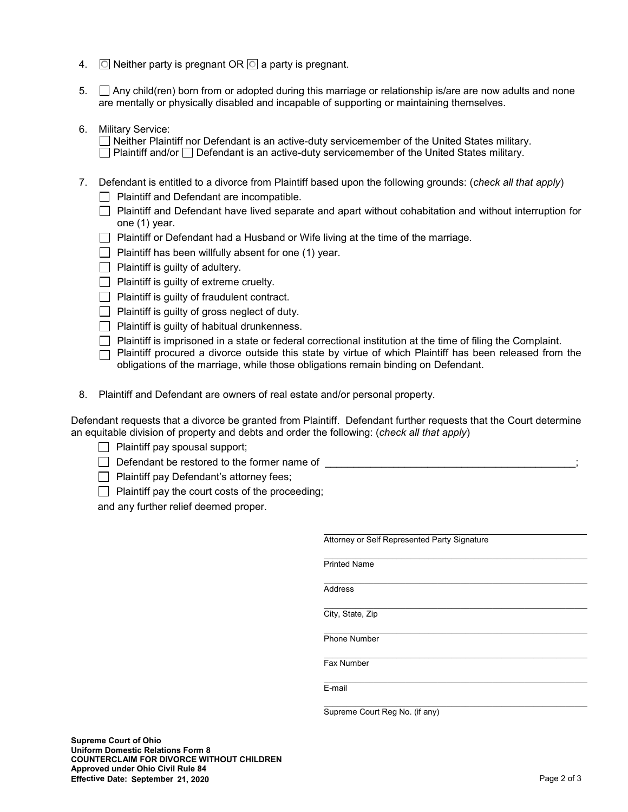- 4.  $\Box$  Neither party is pregnant OR  $\Box$  a party is pregnant.
- 5. Any child(ren) born from or adopted during this marriage or relationship is/are are now adults and none are mentally or physically disabled and incapable of supporting or maintaining themselves.
- 6. Military Service:

Neither Plaintiff nor Defendant is an active-duty servicemember of the United States military.  $\Box$  Plaintiff and/or  $\Box$  Defendant is an active-duty servicemember of the United States military.

- 7. Defendant is entitled to a divorce from Plaintiff based upon the following grounds: (*check all that apply*)
	- $\Box$  Plaintiff and Defendant are incompatible.
	- $\Box$  Plaintiff and Defendant have lived separate and apart without cohabitation and without interruption for one (1) year.
	- $\Box$  Plaintiff or Defendant had a Husband or Wife living at the time of the marriage.
	- $\Box$  Plaintiff has been willfully absent for one (1) year.
	- $\Box$  Plaintiff is quilty of adultery.
	- $\Box$  Plaintiff is guilty of extreme cruelty.
	- $\Box$  Plaintiff is guilty of fraudulent contract.
	- $\Box$  Plaintiff is guilty of gross neglect of duty.
	- $\Box$  Plaintiff is guilty of habitual drunkenness.
	- $\Box$  Plaintiff is imprisoned in a state or federal correctional institution at the time of filing the Complaint.
	- $\Box$  Plaintiff procured a divorce outside this state by virtue of which Plaintiff has been released from the obligations of the marriage, while those obligations remain binding on Defendant.
- 8. Plaintiff and Defendant are owners of real estate and/or personal property.

Defendant requests that a divorce be granted from Plaintiff. Defendant further requests that the Court determine an equitable division of property and debts and order the following: (*check all that apply*)

- $\Box$  Plaintiff pay spousal support;
- $\Box$  Defendant be restored to the former name of
- **Plaintiff pay Defendant's attorney fees;**
- $\Box$  Plaintiff pay the court costs of the proceeding;

and any further relief deemed proper.

| Attorney or Self Represented Party Signature |
|----------------------------------------------|
|                                              |
| <b>Printed Name</b>                          |
| <b>Address</b>                               |
|                                              |
| City, State, Zip                             |
|                                              |
| <b>Phone Number</b>                          |
|                                              |
| Fax Number                                   |
|                                              |
| E-mail                                       |
|                                              |
| Supreme Court Reg No. (if any)               |